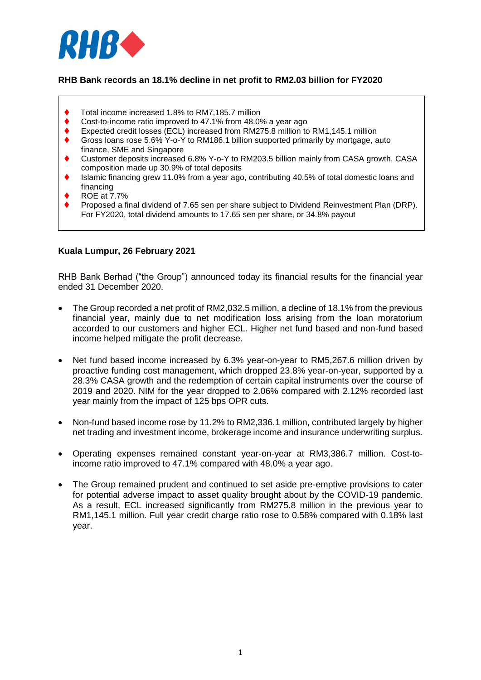

## **RHB Bank records an 18.1% decline in net profit to RM2.03 billion for FY2020**

- Total income increased 1.8% to RM7,185.7 million
- Cost-to-income ratio improved to 47.1% from 48.0% a year ago
- Expected credit losses (ECL) increased from RM275.8 million to RM1,145.1 million
- Gross loans rose 5.6% Y-o-Y to RM186.1 billion supported primarily by mortgage, auto finance, SME and Singapore
- Customer deposits increased 6.8% Y-o-Y to RM203.5 billion mainly from CASA growth. CASA composition made up 30.9% of total deposits
- Islamic financing grew 11.0% from a year ago, contributing 40.5% of total domestic loans and financing
- ROE at 7.7%
- Proposed a final dividend of 7.65 sen per share subject to Dividend Reinvestment Plan (DRP). For FY2020, total dividend amounts to 17.65 sen per share, or 34.8% payout

#### **Kuala Lumpur, 26 February 2021**

RHB Bank Berhad ("the Group") announced today its financial results for the financial year ended 31 December 2020.

- The Group recorded a net profit of RM2,032.5 million, a decline of 18.1% from the previous financial year, mainly due to net modification loss arising from the loan moratorium accorded to our customers and higher ECL. Higher net fund based and non-fund based income helped mitigate the profit decrease.
- Net fund based income increased by 6.3% year-on-year to RM5,267.6 million driven by proactive funding cost management, which dropped 23.8% year-on-year, supported by a 28.3% CASA growth and the redemption of certain capital instruments over the course of 2019 and 2020. NIM for the year dropped to 2.06% compared with 2.12% recorded last year mainly from the impact of 125 bps OPR cuts.
- Non-fund based income rose by 11.2% to RM2.336.1 million, contributed largely by higher net trading and investment income, brokerage income and insurance underwriting surplus.
- Operating expenses remained constant year-on-year at RM3,386.7 million. Cost-toincome ratio improved to 47.1% compared with 48.0% a year ago.
- The Group remained prudent and continued to set aside pre-emptive provisions to cater for potential adverse impact to asset quality brought about by the COVID-19 pandemic. As a result, ECL increased significantly from RM275.8 million in the previous year to RM1,145.1 million. Full year credit charge ratio rose to 0.58% compared with 0.18% last year.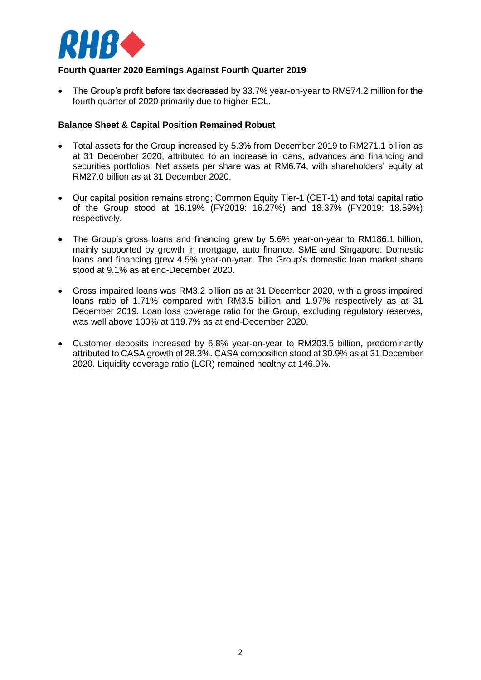

## **Fourth Quarter 2020 Earnings Against Fourth Quarter 2019**

 The Group's profit before tax decreased by 33.7% year-on-year to RM574.2 million for the fourth quarter of 2020 primarily due to higher ECL.

#### **Balance Sheet & Capital Position Remained Robust**

- Total assets for the Group increased by 5.3% from December 2019 to RM271.1 billion as at 31 December 2020, attributed to an increase in loans, advances and financing and securities portfolios. Net assets per share was at RM6.74, with shareholders' equity at RM27.0 billion as at 31 December 2020.
- Our capital position remains strong; Common Equity Tier-1 (CET-1) and total capital ratio of the Group stood at 16.19% (FY2019: 16.27%) and 18.37% (FY2019: 18.59%) respectively.
- The Group's gross loans and financing grew by 5.6% year-on-year to RM186.1 billion, mainly supported by growth in mortgage, auto finance, SME and Singapore. Domestic loans and financing grew 4.5% year-on-year. The Group's domestic loan market share stood at 9.1% as at end-December 2020.
- Gross impaired loans was RM3.2 billion as at 31 December 2020, with a gross impaired loans ratio of 1.71% compared with RM3.5 billion and 1.97% respectively as at 31 December 2019. Loan loss coverage ratio for the Group, excluding regulatory reserves, was well above 100% at 119.7% as at end-December 2020.
- Customer deposits increased by 6.8% year-on-year to RM203.5 billion, predominantly attributed to CASA growth of 28.3%. CASA composition stood at 30.9% as at 31 December 2020. Liquidity coverage ratio (LCR) remained healthy at 146.9%.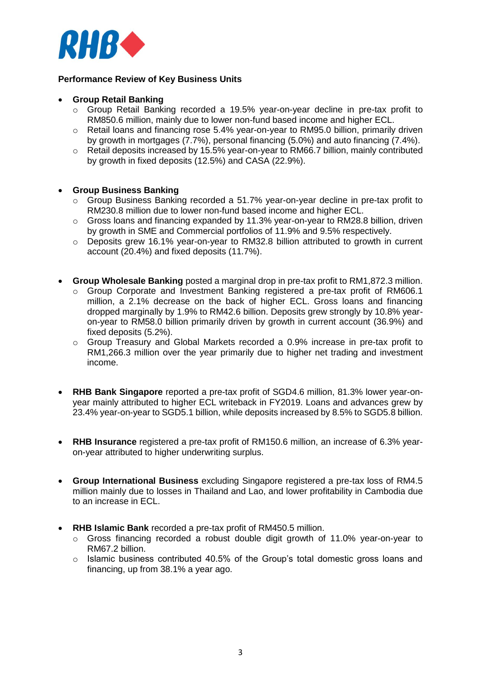

### **Performance Review of Key Business Units**

#### **Group Retail Banking**

- o Group Retail Banking recorded a 19.5% year-on-year decline in pre-tax profit to RM850.6 million, mainly due to lower non-fund based income and higher ECL.
- o Retail loans and financing rose 5.4% year-on-year to RM95.0 billion, primarily driven by growth in mortgages (7.7%), personal financing (5.0%) and auto financing (7.4%).
- $\circ$  Retail deposits increased by 15.5% year-on-year to RM66.7 billion, mainly contributed by growth in fixed deposits (12.5%) and CASA (22.9%).

#### **Group Business Banking**

- o Group Business Banking recorded a 51.7% year-on-year decline in pre-tax profit to RM230.8 million due to lower non-fund based income and higher ECL.
- o Gross loans and financing expanded by 11.3% year-on-year to RM28.8 billion, driven by growth in SME and Commercial portfolios of 11.9% and 9.5% respectively.
- $\circ$  Deposits grew 16.1% year-on-year to RM32.8 billion attributed to growth in current account (20.4%) and fixed deposits (11.7%).
- **Group Wholesale Banking** posted a marginal drop in pre-tax profit to RM1,872.3 million.
	- o Group Corporate and Investment Banking registered a pre-tax profit of RM606.1 million, a 2.1% decrease on the back of higher ECL. Gross loans and financing dropped marginally by 1.9% to RM42.6 billion. Deposits grew strongly by 10.8% yearon-year to RM58.0 billion primarily driven by growth in current account (36.9%) and fixed deposits (5.2%).
	- $\circ$  Group Treasury and Global Markets recorded a 0.9% increase in pre-tax profit to RM1,266.3 million over the year primarily due to higher net trading and investment income.
- **RHB Bank Singapore** reported a pre-tax profit of SGD4.6 million, 81.3% lower year-onyear mainly attributed to higher ECL writeback in FY2019. Loans and advances grew by 23.4% year-on-year to SGD5.1 billion, while deposits increased by 8.5% to SGD5.8 billion.
- **RHB Insurance** registered a pre-tax profit of RM150.6 million, an increase of 6.3% yearon-year attributed to higher underwriting surplus.
- **Group International Business** excluding Singapore registered a pre-tax loss of RM4.5 million mainly due to losses in Thailand and Lao, and lower profitability in Cambodia due to an increase in ECL.
- **RHB Islamic Bank** recorded a pre-tax profit of RM450.5 million.
	- $\circ$  Gross financing recorded a robust double digit growth of 11.0% year-on-year to RM67.2 billion.
	- o Islamic business contributed 40.5% of the Group's total domestic gross loans and financing, up from 38.1% a year ago.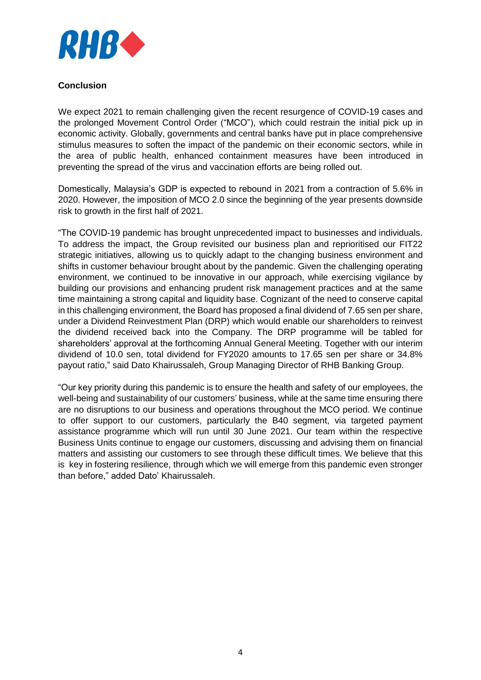

### **Conclusion**

We expect 2021 to remain challenging given the recent resurgence of COVID-19 cases and the prolonged Movement Control Order ("MCO"), which could restrain the initial pick up in economic activity. Globally, governments and central banks have put in place comprehensive stimulus measures to soften the impact of the pandemic on their economic sectors, while in the area of public health, enhanced containment measures have been introduced in preventing the spread of the virus and vaccination efforts are being rolled out.

Domestically, Malaysia's GDP is expected to rebound in 2021 from a contraction of 5.6% in 2020. However, the imposition of MCO 2.0 since the beginning of the year presents downside risk to growth in the first half of 2021.

"The COVID-19 pandemic has brought unprecedented impact to businesses and individuals. To address the impact, the Group revisited our business plan and reprioritised our FIT22 strategic initiatives, allowing us to quickly adapt to the changing business environment and shifts in customer behaviour brought about by the pandemic. Given the challenging operating environment, we continued to be innovative in our approach, while exercising vigilance by building our provisions and enhancing prudent risk management practices and at the same time maintaining a strong capital and liquidity base. Cognizant of the need to conserve capital in this challenging environment, the Board has proposed a final dividend of 7.65 sen per share, under a Dividend Reinvestment Plan (DRP) which would enable our shareholders to reinvest the dividend received back into the Company. The DRP programme will be tabled for shareholders' approval at the forthcoming Annual General Meeting. Together with our interim dividend of 10.0 sen, total dividend for FY2020 amounts to 17.65 sen per share or 34.8% payout ratio," said Dato Khairussaleh, Group Managing Director of RHB Banking Group.

"Our key priority during this pandemic is to ensure the health and safety of our employees, the well-being and sustainability of our customers' business, while at the same time ensuring there are no disruptions to our business and operations throughout the MCO period. We continue to offer support to our customers, particularly the B40 segment, via targeted payment assistance programme which will run until 30 June 2021. Our team within the respective Business Units continue to engage our customers, discussing and advising them on financial matters and assisting our customers to see through these difficult times. We believe that this is key in fostering resilience, through which we will emerge from this pandemic even stronger than before," added Dato' Khairussaleh.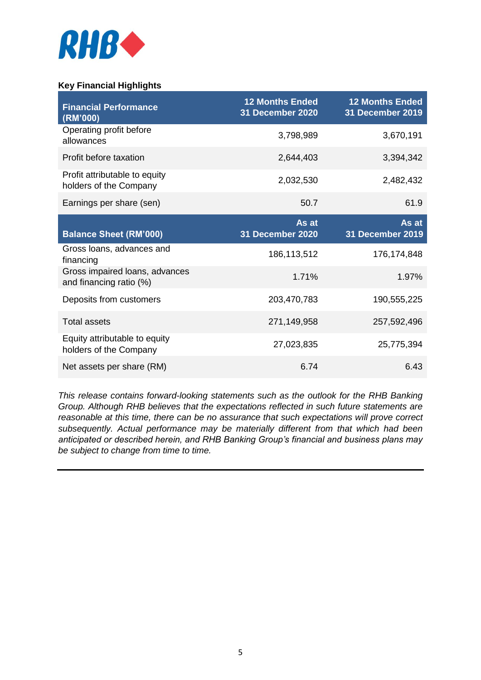

# **Key Financial Highlights**

| <b>Financial Performance</b><br>(RM'000)                  | <b>12 Months Ended</b><br>31 December 2020 | <b>12 Months Ended</b><br>31 December 2019 |
|-----------------------------------------------------------|--------------------------------------------|--------------------------------------------|
| Operating profit before<br>allowances                     | 3,798,989                                  | 3,670,191                                  |
| Profit before taxation                                    | 2,644,403                                  | 3,394,342                                  |
| Profit attributable to equity<br>holders of the Company   | 2,032,530                                  | 2,482,432                                  |
| Earnings per share (sen)                                  | 50.7                                       | 61.9                                       |
| <b>Balance Sheet (RM'000)</b>                             | As at<br>31 December 2020                  | As at<br>31 December 2019                  |
| Gross loans, advances and<br>financing                    | 186,113,512                                | 176,174,848                                |
| Gross impaired loans, advances<br>and financing ratio (%) | 1.71%                                      | 1.97%                                      |
| Deposits from customers                                   | 203,470,783                                | 190,555,225                                |
| <b>Total assets</b>                                       | 271,149,958                                | 257,592,496                                |
| Equity attributable to equity<br>holders of the Company   | 27,023,835                                 | 25,775,394                                 |
| Net assets per share (RM)                                 | 6.74                                       | 6.43                                       |

*This release contains forward-looking statements such as the outlook for the RHB Banking Group. Although RHB believes that the expectations reflected in such future statements are reasonable at this time, there can be no assurance that such expectations will prove correct subsequently. Actual performance may be materially different from that which had been anticipated or described herein, and RHB Banking Group's financial and business plans may be subject to change from time to time.*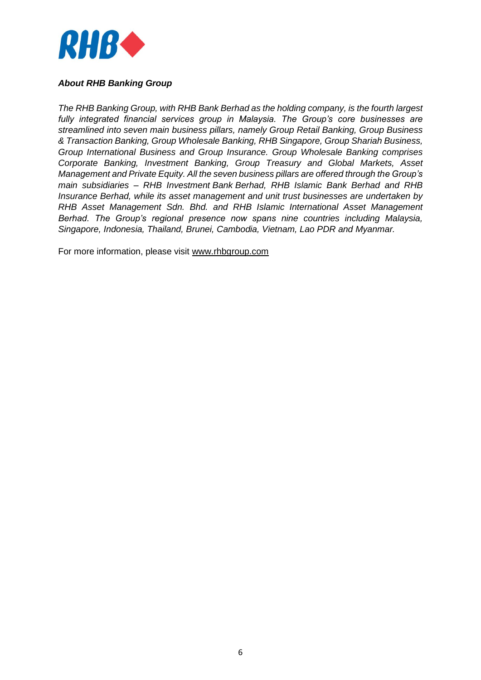

## *About RHB Banking Group*

*The RHB Banking Group, with RHB Bank Berhad as the holding company, is the fourth largest fully integrated financial services group in Malaysia. The Group's core businesses are streamlined into seven main business pillars, namely Group Retail Banking, Group Business & Transaction Banking, Group Wholesale Banking, RHB Singapore, Group Shariah Business, Group International Business and Group Insurance. Group Wholesale Banking comprises Corporate Banking, Investment Banking, Group Treasury and Global Markets, Asset Management and Private Equity. All the seven business pillars are offered through the Group's main subsidiaries – RHB Investment Bank Berhad, RHB Islamic Bank Berhad and RHB Insurance Berhad, while its asset management and unit trust businesses are undertaken by RHB Asset Management Sdn. Bhd. and RHB Islamic International Asset Management Berhad. The Group's regional presence now spans nine countries including Malaysia, Singapore, Indonesia, Thailand, Brunei, Cambodia, Vietnam, Lao PDR and Myanmar.*

For more information, please visit [www.rhbgroup.com](http://www.rhbgroup.com/)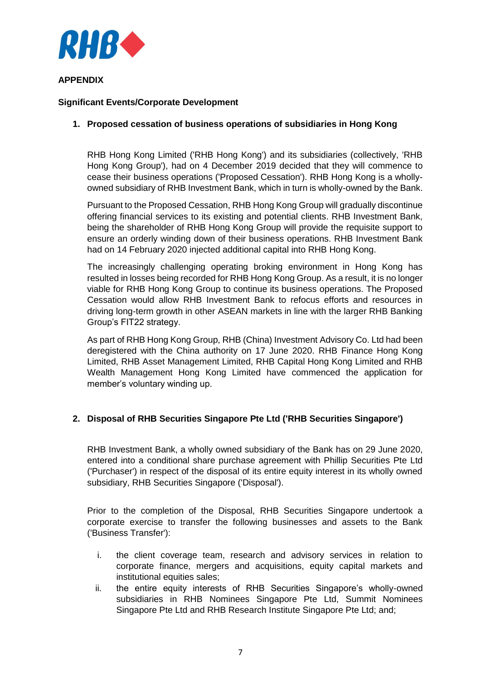

## **APPENDIX**

## **Significant Events/Corporate Development**

## **1. Proposed cessation of business operations of subsidiaries in Hong Kong**

RHB Hong Kong Limited ('RHB Hong Kong') and its subsidiaries (collectively, 'RHB Hong Kong Group'), had on 4 December 2019 decided that they will commence to cease their business operations ('Proposed Cessation'). RHB Hong Kong is a whollyowned subsidiary of RHB Investment Bank, which in turn is wholly-owned by the Bank.

Pursuant to the Proposed Cessation, RHB Hong Kong Group will gradually discontinue offering financial services to its existing and potential clients. RHB Investment Bank, being the shareholder of RHB Hong Kong Group will provide the requisite support to ensure an orderly winding down of their business operations. RHB Investment Bank had on 14 February 2020 injected additional capital into RHB Hong Kong.

The increasingly challenging operating broking environment in Hong Kong has resulted in losses being recorded for RHB Hong Kong Group. As a result, it is no longer viable for RHB Hong Kong Group to continue its business operations. The Proposed Cessation would allow RHB Investment Bank to refocus efforts and resources in driving long-term growth in other ASEAN markets in line with the larger RHB Banking Group's FIT22 strategy.

As part of RHB Hong Kong Group, RHB (China) Investment Advisory Co. Ltd had been deregistered with the China authority on 17 June 2020. RHB Finance Hong Kong Limited, RHB Asset Management Limited, RHB Capital Hong Kong Limited and RHB Wealth Management Hong Kong Limited have commenced the application for member's voluntary winding up.

# **2. Disposal of RHB Securities Singapore Pte Ltd ('RHB Securities Singapore')**

RHB Investment Bank, a wholly owned subsidiary of the Bank has on 29 June 2020, entered into a conditional share purchase agreement with Phillip Securities Pte Ltd ('Purchaser') in respect of the disposal of its entire equity interest in its wholly owned subsidiary, RHB Securities Singapore ('Disposal').

Prior to the completion of the Disposal, RHB Securities Singapore undertook a corporate exercise to transfer the following businesses and assets to the Bank ('Business Transfer'):

- i. the client coverage team, research and advisory services in relation to corporate finance, mergers and acquisitions, equity capital markets and institutional equities sales;
- ii. the entire equity interests of RHB Securities Singapore's wholly-owned subsidiaries in RHB Nominees Singapore Pte Ltd, Summit Nominees Singapore Pte Ltd and RHB Research Institute Singapore Pte Ltd; and;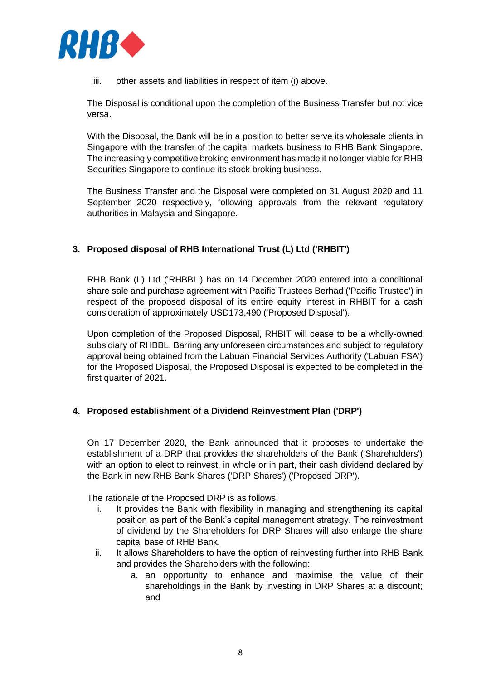

iii. other assets and liabilities in respect of item (i) above.

The Disposal is conditional upon the completion of the Business Transfer but not vice versa.

With the Disposal, the Bank will be in a position to better serve its wholesale clients in Singapore with the transfer of the capital markets business to RHB Bank Singapore. The increasingly competitive broking environment has made it no longer viable for RHB Securities Singapore to continue its stock broking business.

The Business Transfer and the Disposal were completed on 31 August 2020 and 11 September 2020 respectively, following approvals from the relevant regulatory authorities in Malaysia and Singapore.

# **3. Proposed disposal of RHB International Trust (L) Ltd ('RHBIT')**

RHB Bank (L) Ltd ('RHBBL') has on 14 December 2020 entered into a conditional share sale and purchase agreement with Pacific Trustees Berhad ('Pacific Trustee') in respect of the proposed disposal of its entire equity interest in RHBIT for a cash consideration of approximately USD173,490 ('Proposed Disposal').

Upon completion of the Proposed Disposal, RHBIT will cease to be a wholly-owned subsidiary of RHBBL. Barring any unforeseen circumstances and subject to regulatory approval being obtained from the Labuan Financial Services Authority ('Labuan FSA') for the Proposed Disposal, the Proposed Disposal is expected to be completed in the first quarter of 2021.

# **4. Proposed establishment of a Dividend Reinvestment Plan ('DRP')**

On 17 December 2020, the Bank announced that it proposes to undertake the establishment of a DRP that provides the shareholders of the Bank ('Shareholders') with an option to elect to reinvest, in whole or in part, their cash dividend declared by the Bank in new RHB Bank Shares ('DRP Shares') ('Proposed DRP').

The rationale of the Proposed DRP is as follows:

- i. It provides the Bank with flexibility in managing and strengthening its capital position as part of the Bank's capital management strategy. The reinvestment of dividend by the Shareholders for DRP Shares will also enlarge the share capital base of RHB Bank.
- ii. It allows Shareholders to have the option of reinvesting further into RHB Bank and provides the Shareholders with the following:
	- a. an opportunity to enhance and maximise the value of their shareholdings in the Bank by investing in DRP Shares at a discount; and